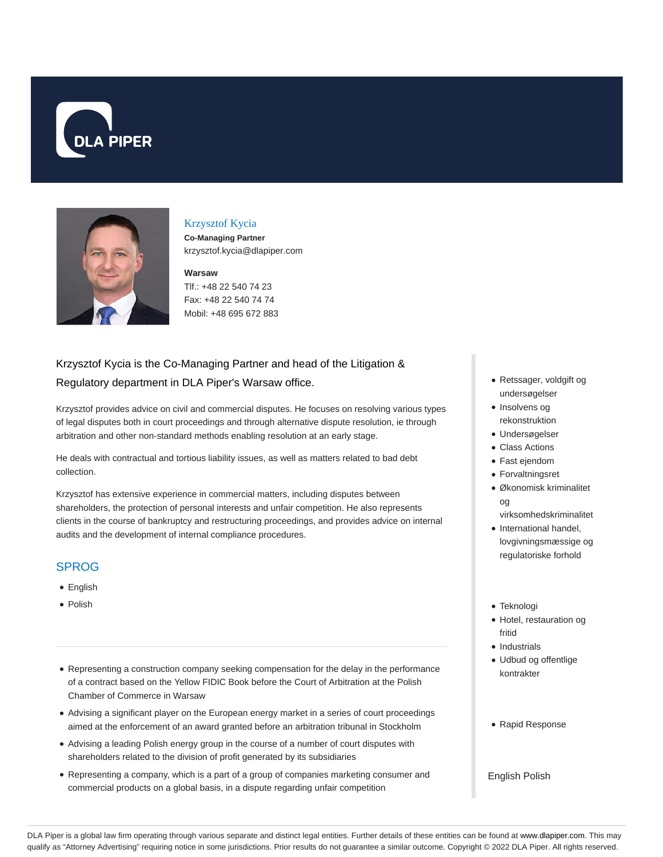



## Krzysztof Kycia

**Co-Managing Partner** krzysztof.kycia@dlapiper.com

#### **Warsaw**

Tlf.: +48 22 540 74 23 Fax: +48 22 540 74 74 Mobil: +48 695 672 883

# Krzysztof Kycia is the Co-Managing Partner and head of the Litigation & Regulatory department in DLA Piper's Warsaw office.

Krzysztof provides advice on civil and commercial disputes. He focuses on resolving various types of legal disputes both in court proceedings and through alternative dispute resolution, ie through arbitration and other non-standard methods enabling resolution at an early stage.

He deals with contractual and tortious liability issues, as well as matters related to bad debt collection.

Krzysztof has extensive experience in commercial matters, including disputes between shareholders, the protection of personal interests and unfair competition. He also represents clients in the course of bankruptcy and restructuring proceedings, and provides advice on internal audits and the development of internal compliance procedures.

### SPROG

- English
- Polish
- Representing a construction company seeking compensation for the delay in the performance of a contract based on the Yellow FIDIC Book before the Court of Arbitration at the Polish Chamber of Commerce in Warsaw
- Advising a significant player on the European energy market in a series of court proceedings aimed at the enforcement of an award granted before an arbitration tribunal in Stockholm
- Advising a leading Polish energy group in the course of a number of court disputes with shareholders related to the division of profit generated by its subsidiaries
- Representing a company, which is a part of a group of companies marketing consumer and commercial products on a global basis, in a dispute regarding unfair competition
- Retssager, voldgift og undersøgelser
- Insolvens og rekonstruktion
- Undersøgelser
- Class Actions
- Fast ejendom
- Forvaltningsret
- Økonomisk kriminalitet og virksomhedskriminalitet
- International handel, lovgivningsmæssige og regulatoriske forhold
- Teknologi
- Hotel, restauration og fritid
- Industrials
- Udbud og offentlige kontrakter
- Rapid Response

#### English Polish